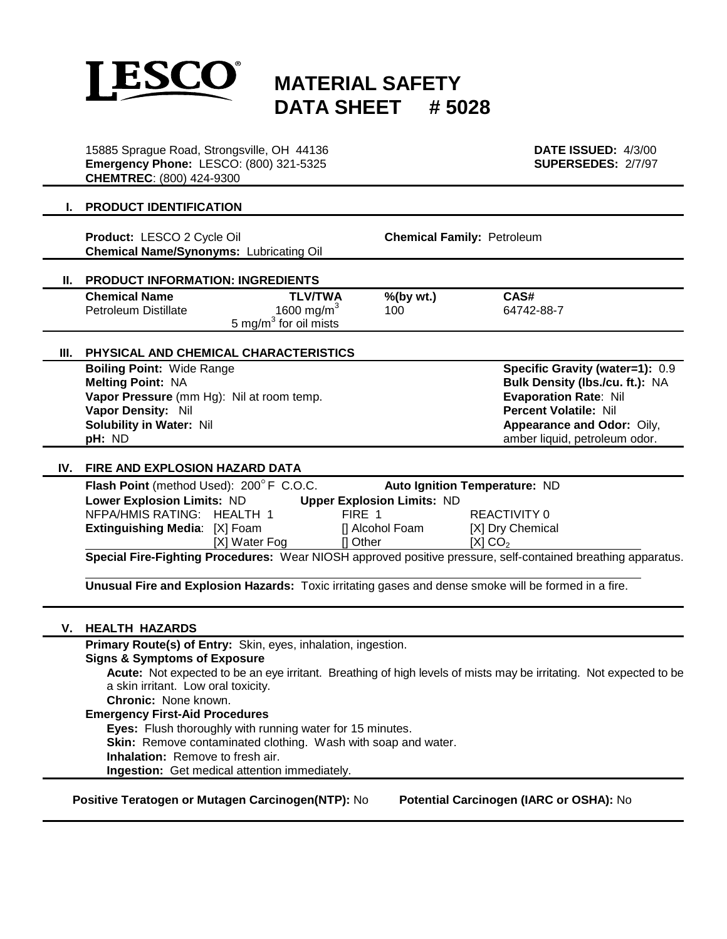

# **MATERIAL SAFETY DATA SHEET # 5028**

15885 Sprague Road, Strongsville, OH 44136 **DATE ISSUED:** 4/3/00 **Emergency Phone:** LESCO: (800) 321-5325 **SUPERSEDES:** 2/7/97 **CHEMTREC**: (800) 424-9300

### **I. PRODUCT IDENTIFICATION**

**Product:** LESCO 2 Cycle Oil **Chemical Family:** Petroleum **Chemical Name/Synonyms:** Lubricating Oil

# **II. PRODUCT INFORMATION: INGREDIENTS**

| <b>Chemical Name</b> | <b>TLV/TWA</b>                    | $%$ (by wt.) | CAS#       |  |
|----------------------|-----------------------------------|--------------|------------|--|
| Petroleum Distillate | 1600 mg/m $\degree$               | 100          | 64742-88-7 |  |
|                      | 5 mg/m <sup>3</sup> for oil mists |              |            |  |

#### **III. PHYSICAL AND CHEMICAL CHARACTERISTICS**

**Boiling Point:** Wide Range **Specific Gravity (water=1):** 0.9 **Melting Point:** NA **Bulk Density (lbs./cu. ft.):** NA **Vapor Pressure** (mm Hg): Nil at room temp. **Evaporation Rate**: Nil **Vapor Density:** Nil **Percent Volatile:** Nil **Solubility in Water:** Nil **Appearance and Odor:** Oily, **pH:** ND **amber liquid, petroleum odor.** 

#### **IV. FIRE AND EXPLOSION HAZARD DATA**

| Flash Point (method Used): 200°F C.O.C.                                                                      |               |                                   | Auto Ignition Temperature: ND |  |  |
|--------------------------------------------------------------------------------------------------------------|---------------|-----------------------------------|-------------------------------|--|--|
| <b>Lower Explosion Limits: ND</b>                                                                            |               | <b>Upper Explosion Limits: ND</b> |                               |  |  |
| NFPA/HMIS RATING: HEALTH 1                                                                                   |               | FIRE 1                            | REACTIVITY 0                  |  |  |
| <b>Extinguishing Media:</b> [X] Foam                                                                         |               | [] Alcohol Foam                   | [X] Dry Chemical              |  |  |
|                                                                                                              | [X] Water Fog | Il Other                          | [X] CO <sub>2</sub>           |  |  |
| Special Fire-Fighting Procedures: Wear NIOSH approved positive pressure, self-contained breathing apparatus. |               |                                   |                               |  |  |

**Unusual Fire and Explosion Hazards:** Toxic irritating gases and dense smoke will be formed in a fire.

## **V. HEALTH HAZARDS**

**Primary Route(s) of Entry:** Skin, eyes, inhalation, ingestion.

**Signs & Symptoms of Exposure**

**Acute:** Not expected to be an eye irritant. Breathing of high levels of mists may be irritating. Not expected to be a skin irritant. Low oral toxicity.

**Chronic:** None known.

# **Emergency First-Aid Procedures**

**Eyes:** Flush thoroughly with running water for 15 minutes.

**Skin:** Remove contaminated clothing. Wash with soap and water.

**Inhalation:** Remove to fresh air.

**Ingestion:** Get medical attention immediately.

**Positive Teratogen or Mutagen Carcinogen(NTP):** No **Potential Carcinogen (IARC or OSHA):** No